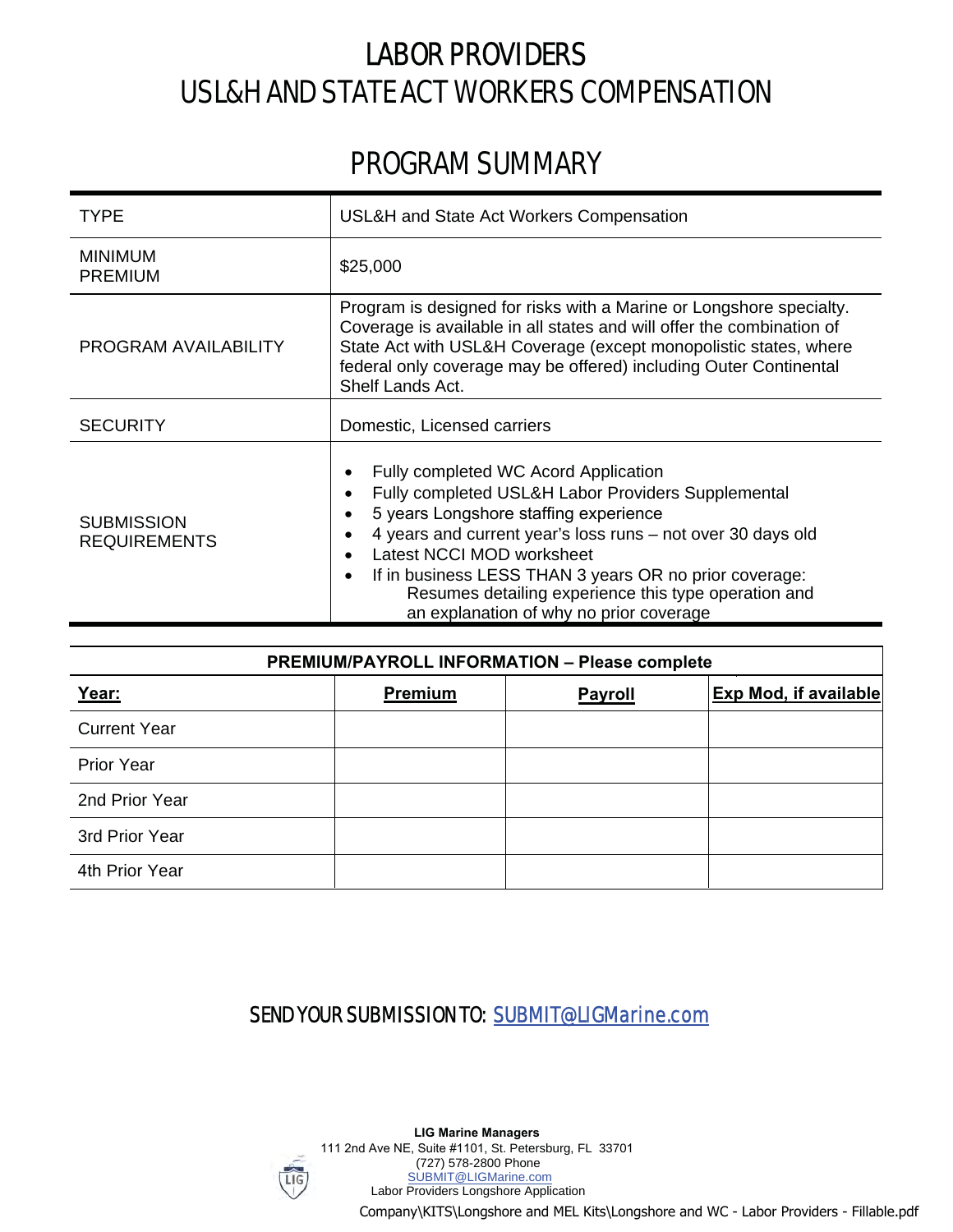# LABOR PROVIDERS USL&H AND STATE ACT WORKERS COMPENSATION

## PROGRAM SUMMARY

| <b>TYPE</b>                              | USL&H and State Act Workers Compensation                                                                                                                                                                                                                                                                                                                                                                            |  |  |  |
|------------------------------------------|---------------------------------------------------------------------------------------------------------------------------------------------------------------------------------------------------------------------------------------------------------------------------------------------------------------------------------------------------------------------------------------------------------------------|--|--|--|
| <b>MINIMUM</b><br><b>PREMIUM</b>         | \$25,000                                                                                                                                                                                                                                                                                                                                                                                                            |  |  |  |
| <b>PROGRAM AVAILABILITY</b>              | Program is designed for risks with a Marine or Longshore specialty.<br>Coverage is available in all states and will offer the combination of<br>State Act with USL&H Coverage (except monopolistic states, where<br>federal only coverage may be offered) including Outer Continental<br>Shelf Lands Act.                                                                                                           |  |  |  |
| <b>SECURITY</b>                          | Domestic, Licensed carriers                                                                                                                                                                                                                                                                                                                                                                                         |  |  |  |
| <b>SUBMISSION</b><br><b>REQUIREMENTS</b> | Fully completed WC Acord Application<br>٠<br>Fully completed USL&H Labor Providers Supplemental<br>٠<br>5 years Longshore staffing experience<br>4 years and current year's loss runs – not over 30 days old<br>Latest NCCI MOD worksheet<br>If in business LESS THAN 3 years OR no prior coverage:<br>$\bullet$<br>Resumes detailing experience this type operation and<br>an explanation of why no prior coverage |  |  |  |

| <b>PREMIUM/PAYROLL INFORMATION - Please complete</b> |         |         |                              |  |  |  |  |
|------------------------------------------------------|---------|---------|------------------------------|--|--|--|--|
| Year:                                                | Premium | Payroll | <b>Exp Mod, if available</b> |  |  |  |  |
| <b>Current Year</b>                                  |         |         |                              |  |  |  |  |
| <b>Prior Year</b>                                    |         |         |                              |  |  |  |  |
| 2nd Prior Year                                       |         |         |                              |  |  |  |  |
| 3rd Prior Year                                       |         |         |                              |  |  |  |  |
| 4th Prior Year                                       |         |         |                              |  |  |  |  |

### SEND YOUR SUBMISSION TO: SUBMIT@LIGMarine.com

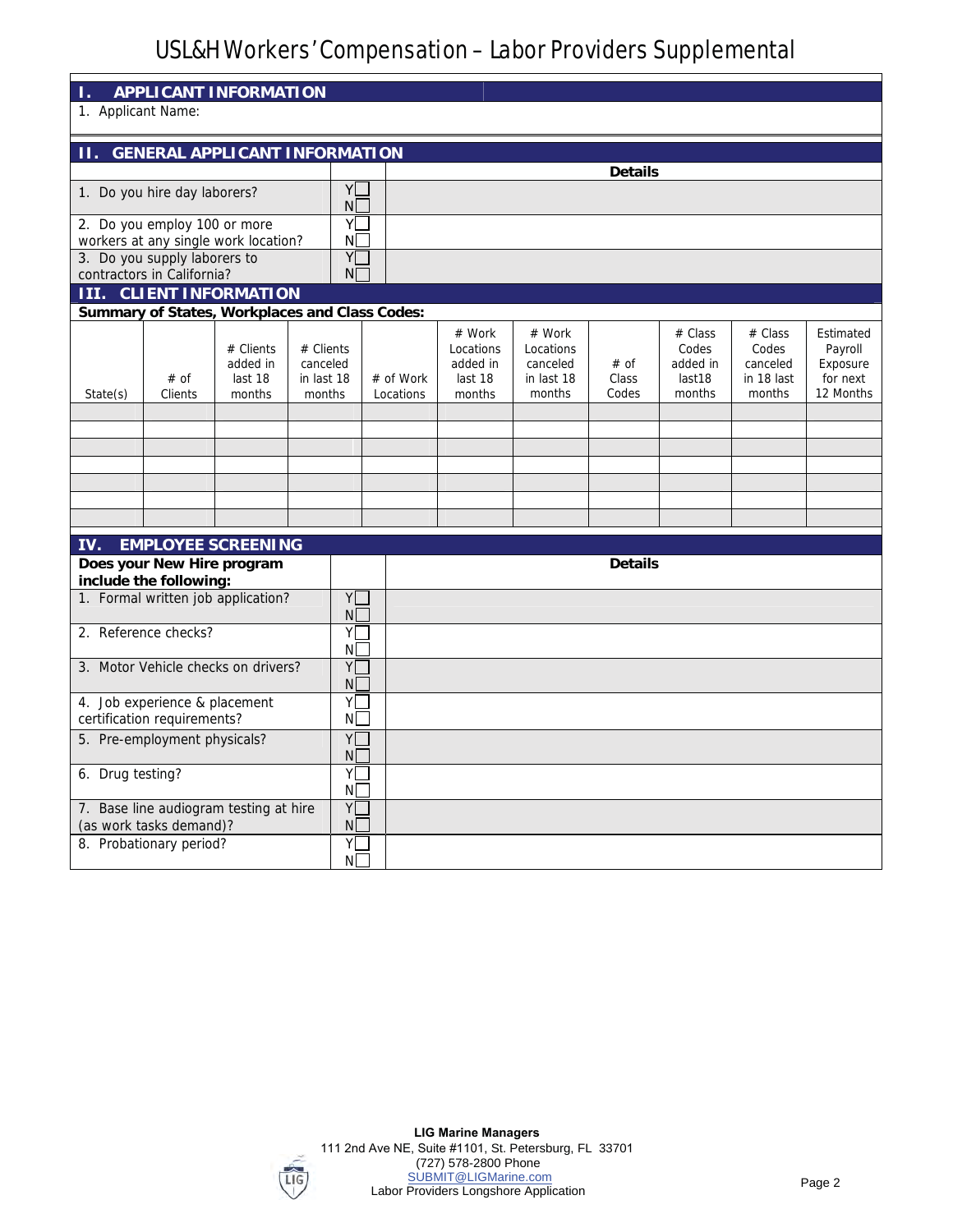### USL&H Workers' Compensation – Labor Providers Supplemental

| APPLICANT INFORMATION                                                           |                                                               |                                                |                                               |                        |                                                      |                                                         |                        |                                                  |                                                      |                                                           |
|---------------------------------------------------------------------------------|---------------------------------------------------------------|------------------------------------------------|-----------------------------------------------|------------------------|------------------------------------------------------|---------------------------------------------------------|------------------------|--------------------------------------------------|------------------------------------------------------|-----------------------------------------------------------|
| 1. Applicant Name:                                                              |                                                               |                                                |                                               |                        |                                                      |                                                         |                        |                                                  |                                                      |                                                           |
|                                                                                 |                                                               |                                                |                                               |                        |                                                      |                                                         |                        |                                                  |                                                      |                                                           |
| <b>GENERAL APPLICANT INFORMATION</b><br>11.<br>Details                          |                                                               |                                                |                                               |                        |                                                      |                                                         |                        |                                                  |                                                      |                                                           |
|                                                                                 |                                                               |                                                | Y                                             |                        |                                                      |                                                         |                        |                                                  |                                                      |                                                           |
|                                                                                 | 1. Do you hire day laborers?<br>Νl                            |                                                |                                               |                        |                                                      |                                                         |                        |                                                  |                                                      |                                                           |
| Y<br>2. Do you employ 100 or more<br>ΝI<br>workers at any single work location? |                                                               |                                                |                                               |                        |                                                      |                                                         |                        |                                                  |                                                      |                                                           |
|                                                                                 | 3. Do you supply laborers to                                  |                                                | Y                                             |                        |                                                      |                                                         |                        |                                                  |                                                      |                                                           |
|                                                                                 | contractors in California?                                    | <b>III.</b> CLIENT INFORMATION                 | $N\Gamma$                                     |                        |                                                      |                                                         |                        |                                                  |                                                      |                                                           |
|                                                                                 |                                                               | Summary of States, Workplaces and Class Codes: |                                               |                        |                                                      |                                                         |                        |                                                  |                                                      |                                                           |
| State(s)                                                                        | # of<br>Clients                                               | # Clients<br>added in<br>last 18<br>months     | # Clients<br>canceled<br>in last 18<br>months | # of Work<br>Locations | # Work<br>Locations<br>added in<br>last 18<br>months | # Work<br>Locations<br>canceled<br>in last 18<br>months | # of<br>Class<br>Codes | # Class<br>Codes<br>added in<br>last18<br>months | # Class<br>Codes<br>canceled<br>in 18 last<br>months | Estimated<br>Payroll<br>Exposure<br>for next<br>12 Months |
|                                                                                 |                                                               |                                                |                                               |                        |                                                      |                                                         |                        |                                                  |                                                      |                                                           |
|                                                                                 |                                                               |                                                |                                               |                        |                                                      |                                                         |                        |                                                  |                                                      |                                                           |
|                                                                                 |                                                               |                                                |                                               |                        |                                                      |                                                         |                        |                                                  |                                                      |                                                           |
|                                                                                 |                                                               |                                                |                                               |                        |                                                      |                                                         |                        |                                                  |                                                      |                                                           |
|                                                                                 |                                                               |                                                |                                               |                        |                                                      |                                                         |                        |                                                  |                                                      |                                                           |
| IV.                                                                             |                                                               | <b>EMPLOYEE SCREENING</b>                      |                                               |                        |                                                      |                                                         |                        |                                                  |                                                      |                                                           |
|                                                                                 | Does your New Hire program<br>include the following:          |                                                |                                               |                        |                                                      |                                                         | Details                |                                                  |                                                      |                                                           |
|                                                                                 |                                                               | 1. Formal written job application?             | Y                                             |                        |                                                      |                                                         |                        |                                                  |                                                      |                                                           |
|                                                                                 | 2. Reference checks?                                          |                                                | N<br>YĪ                                       |                        |                                                      |                                                         |                        |                                                  |                                                      |                                                           |
|                                                                                 |                                                               |                                                | N                                             |                        |                                                      |                                                         |                        |                                                  |                                                      |                                                           |
| Y<br>3. Motor Vehicle checks on drivers?<br>NI.                                 |                                                               |                                                |                                               |                        |                                                      |                                                         |                        |                                                  |                                                      |                                                           |
|                                                                                 | 4. Job experience & placement                                 |                                                | Y                                             |                        |                                                      |                                                         |                        |                                                  |                                                      |                                                           |
| certification requirements?<br>N                                                |                                                               |                                                |                                               |                        |                                                      |                                                         |                        |                                                  |                                                      |                                                           |
| Y<br>5. Pre-employment physicals?<br>N                                          |                                                               |                                                |                                               |                        |                                                      |                                                         |                        |                                                  |                                                      |                                                           |
| 6. Drug testing?<br>YΓ<br>N                                                     |                                                               |                                                |                                               |                        |                                                      |                                                         |                        |                                                  |                                                      |                                                           |
|                                                                                 | Y<br>7. Base line audiogram testing at hire                   |                                                |                                               |                        |                                                      |                                                         |                        |                                                  |                                                      |                                                           |
|                                                                                 | N<br>(as work tasks demand)?<br>8. Probationary period?<br>YΓ |                                                |                                               |                        |                                                      |                                                         |                        |                                                  |                                                      |                                                           |
| ΝI                                                                              |                                                               |                                                |                                               |                        |                                                      |                                                         |                        |                                                  |                                                      |                                                           |

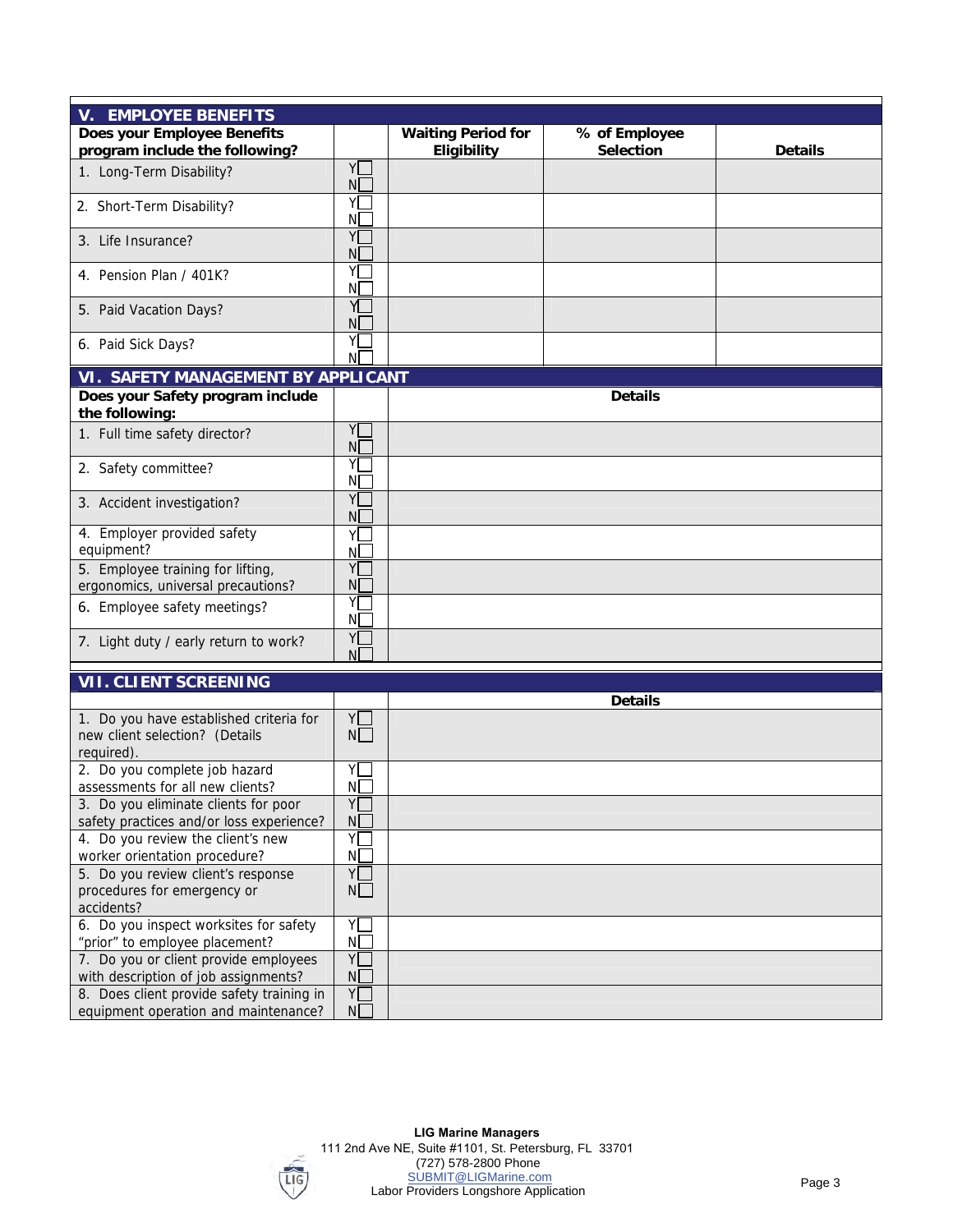| V. EMPLOYEE BENEFITS                      |                |                    |               |         |
|-------------------------------------------|----------------|--------------------|---------------|---------|
| Does your Employee Benefits               |                | Waiting Period for | % of Employee |         |
| program include the following?            |                | Eligibility        | Selection     | Details |
|                                           | Y              |                    |               |         |
| 1. Long-Term Disability?                  | $N_{-}$        |                    |               |         |
|                                           | YΓ             |                    |               |         |
| 2. Short-Term Disability?                 |                |                    |               |         |
|                                           | N[             |                    |               |         |
| 3. Life Insurance?                        | Υ[             |                    |               |         |
|                                           | N <sub>[</sub> |                    |               |         |
| 4. Pension Plan / 401K?                   | Y[             |                    |               |         |
|                                           | N[             |                    |               |         |
| 5. Paid Vacation Days?                    | Y              |                    |               |         |
|                                           | NL             |                    |               |         |
| 6. Paid Sick Days?                        | YL             |                    |               |         |
|                                           | N              |                    |               |         |
| VI. SAFETY MANAGEMENT BY APPLICANT        |                |                    |               |         |
| Does your Safety program include          |                |                    | Details       |         |
| the following:                            |                |                    |               |         |
| 1. Full time safety director?             | Y              |                    |               |         |
|                                           | N <sub>L</sub> |                    |               |         |
| 2. Safety committee?                      | YΓ             |                    |               |         |
|                                           | NΓ             |                    |               |         |
| 3. Accident investigation?                | YΓ             |                    |               |         |
|                                           | N[             |                    |               |         |
| 4. Employer provided safety               | YΓ             |                    |               |         |
| equipment?                                | N <sub>2</sub> |                    |               |         |
| 5. Employee training for lifting,         | Y              |                    |               |         |
| ergonomics, universal precautions?        | NΓ             |                    |               |         |
|                                           | YI             |                    |               |         |
| 6. Employee safety meetings?              | N <sub>[</sub> |                    |               |         |
|                                           | Y              |                    |               |         |
| 7. Light duty / early return to work?     | NΓ             |                    |               |         |
|                                           |                |                    |               |         |
| VII. CLIENT SCREENING                     |                |                    |               |         |
|                                           |                |                    | Details       |         |
| 1. Do you have established criteria for   | YO             |                    |               |         |
| new client selection? (Details            | N              |                    |               |         |
| required).                                |                |                    |               |         |
| 2. Do you complete job hazard             | YL.            |                    |               |         |
| assessments for all new clients?          | N              |                    |               |         |
| 3. Do you eliminate clients for poor      | YL.            |                    |               |         |
| safety practices and/or loss experience?  | N[             |                    |               |         |
| 4. Do you review the client's new         | Y              |                    |               |         |
| worker orientation procedure?             | ΝD             |                    |               |         |
| 5. Do you review client's response        | Y              |                    |               |         |
| procedures for emergency or               | N              |                    |               |         |
| accidents?                                |                |                    |               |         |
| 6. Do you inspect worksites for safety    | Y              |                    |               |         |
| "prior" to employee placement?            | ΝD             |                    |               |         |
| 7. Do you or client provide employees     | Y              |                    |               |         |
| with description of job assignments?      | N <sub>[</sub> |                    |               |         |
| 8. Does client provide safety training in | Y              |                    |               |         |
| equipment operation and maintenance?      | N[             |                    |               |         |
|                                           |                |                    |               |         |